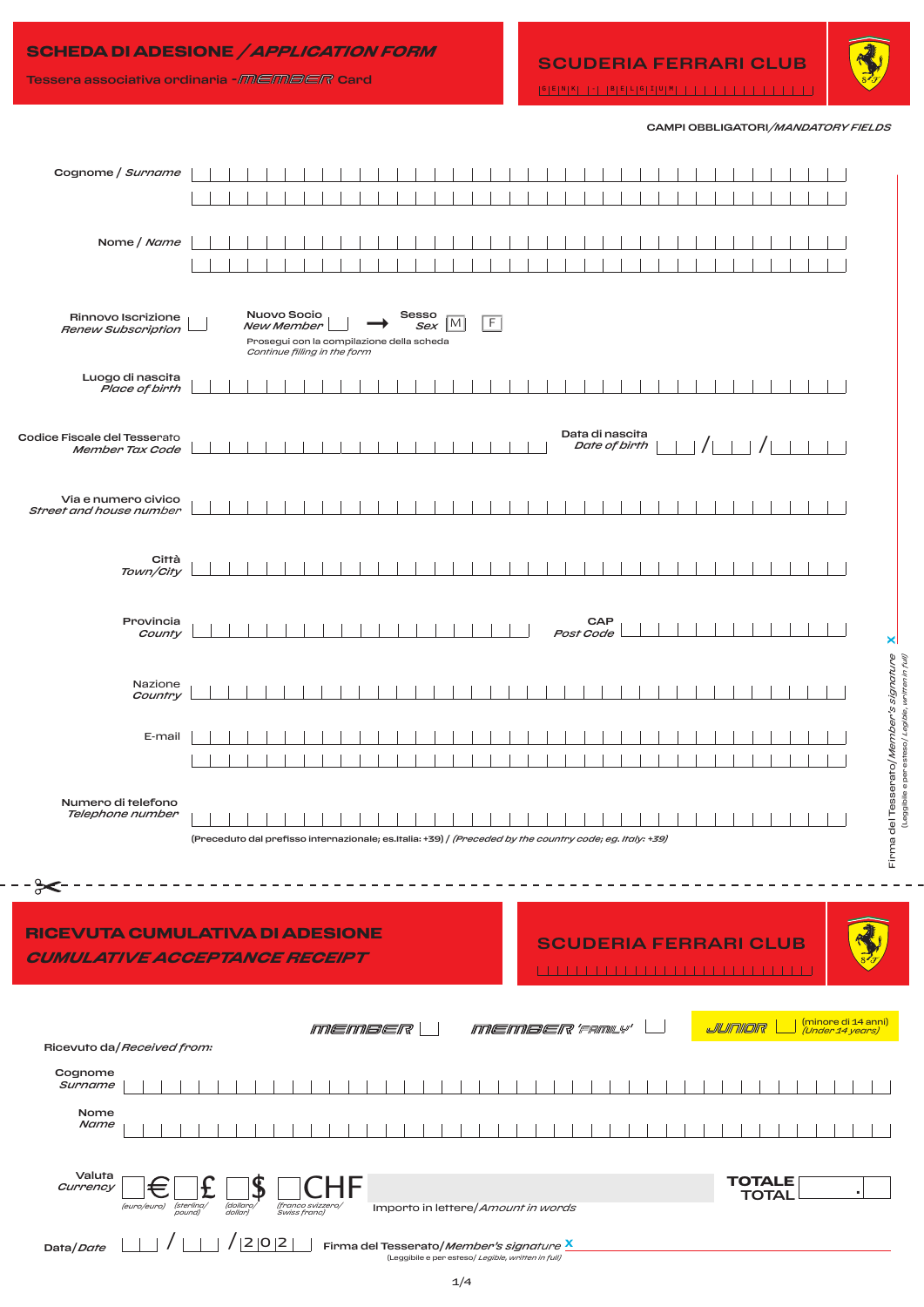# **SCHEDA DI ADESIONE** */ APPLICATION FORM*



CAMPI OBBLIGATORI*/MANDATORY FIELDS*

| Cognome / Surname                               |                                                                                                                                    |                                                                                                        |
|-------------------------------------------------|------------------------------------------------------------------------------------------------------------------------------------|--------------------------------------------------------------------------------------------------------|
|                                                 |                                                                                                                                    |                                                                                                        |
| Nome / Name                                     |                                                                                                                                    |                                                                                                        |
| Rinnovo Iscrizione<br><b>Renew Subscription</b> | Nuovo Socio<br>Sesso<br>F<br> M <br>Sex<br>New Member<br>Prosegui con la compilazione della scheda<br>Continue filling in the form |                                                                                                        |
| Luogo di nascita<br>Place of birth              |                                                                                                                                    |                                                                                                        |
| Codice Fiscale del Tesserato<br>Member Tax Code | Data di nascita<br>Date of birth                                                                                                   | $/$ $\perp$ $\perp$                                                                                    |
| Via e numero civico<br>Street and house number  |                                                                                                                                    |                                                                                                        |
| Città<br>Town/City                              |                                                                                                                                    |                                                                                                        |
| Provincia<br>County                             | CAP<br>Post Code                                                                                                                   | ×                                                                                                      |
| Nazione<br>Country                              |                                                                                                                                    |                                                                                                        |
| E-mail                                          |                                                                                                                                    |                                                                                                        |
| Numero di telefono<br>Telephone number          | (Preceduto dal prefisso internazionale; es.Italia: +39) / (Preceded by the country code; eg. Italy: +39)                           | Firma del Tesserato <i>/Member's signature</i><br>Leggibile eperesso <i>l Legible, written in full</i> |
| ⊱⊱                                              |                                                                                                                                    |                                                                                                        |
|                                                 | RICEVUTA CUMULATIVA DI ADESIONE<br><b>SCUDERIA FERRARI CLUB</b><br><b>CUMULATIVE ACCEPTANCE RECEIPT</b>                            |                                                                                                        |
| Ricevuto da/Received from:                      | <i>MEMBER'FAMLY'</i><br><i>MEMBER</i>                                                                                              | (minore di 14 anni)<br>JUNIOR<br>(Under 14 years)                                                      |
| Cognome<br>Surname                              |                                                                                                                                    |                                                                                                        |
| Nome<br>Name                                    |                                                                                                                                    |                                                                                                        |
| Valuta<br>Currency<br>$=$<br>(euro/euro)        | (franco svizzero/<br>Swiss franc)<br>(sterling/<br>(dollaro)<br>dollar)<br>Importo in lettere/Amount in words<br>pound)            | <b>TOTALE</b><br><b>TOTAL</b>                                                                          |
| Data/Date                                       | $^{\prime}$  2 0 2 <br>Firma del Tesserato/Member's signature X<br>(Leggibile e per esteso/ Legible, written in full)              |                                                                                                        |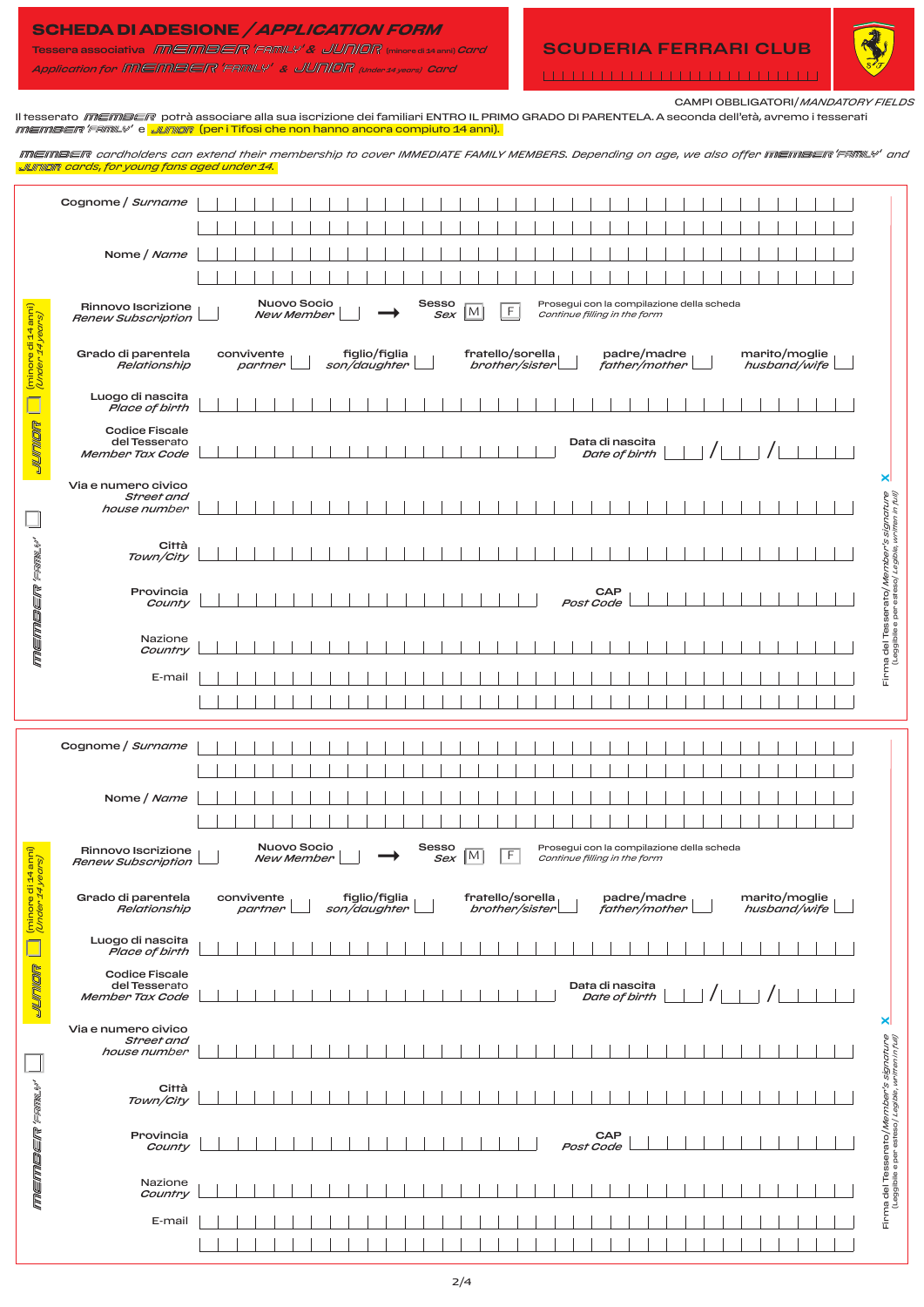## **SCHEDA DI ADESIONE** */ APPLICATION FORM*

Tessera associativa *&* (minore di 14 anni) *Card Application for & (Under 14 years) Card*

# SCUDERIA FERRARI CLUB



CAMPI OBBLIGATORI/*MANDATORY FIELDS*

Il tesserato *memeen* potrà associare alla sua iscrizione dei familiari ENTRO IL PRIMO GRADO DI PARENTELA. A seconda dell'età, avremo i tesserati *memeer 'FAmL\'* e *JUnior* (per i Tifosi che non hanno ancora compiuto 14 anni). **IMEIMBEIR** cardholders can extend their membership to cover IMMEDIATE FAMILY MEMBERS. Depending on age, we also offer IMEIMBEIR' FAMIL\" and *cards, for young fans aged under 14.* Cognome / *Surname*   $\overline{\phantom{a}}$  $\overline{\phantom{0}}$ Nome / *Name* Nuovo Socio Sesso *Renew Subscription* ➞ Prosegui con la compilazione della scheda Rinnovo Iscrizione<br>Renew Subscription (minore di 14 anni)  $\frac{3550}{Sex}$  M F *Continue filling in the form New Member (Under 14 years)* hore di <sub>14</sub> Grado di parentela convivente figlio/figlia fratello/sorella padre/madre marito/moglie *Relationship partner*  $\overline{\phantom{a}}$ *son/daughter brother/sister father/mother husband/wife*  $\overline{\phantom{a}}$ Luogo di nascita *Place of birth* **SICILITING** Codice Fiscale Data di nascita del Tesserato  $\frac{1}{\text{Date of birth}}$   $\left| \begin{array}{c} | \\ | \end{array} \right|$   $\left| \begin{array}{c} | \\ | \end{array} \right|$  *Member Tax Code* **x** Via e numero civico Firma del Tesserato/Member's signature<br>Leggibile e per esteso/Legible, written in full) *Street and*  Firma del Tesserato/*Member's signature* (Leggibile e per esteso/ *Legible, written in full) house number*  $\Box$ member 'Fank' **Città** *Town/City* Provincia **CAP** *County Post Code* Nazione *Country* E-mail Cognome / *Surname*  Nome / *Name* Nuovo Socio *Renew Subscription* ➞ Prosegui con la compilazione della scheda Sesso Rinnovo Iscrizione (minore di 14 anni)  $Sex$  M F *New Member Continue filling in the form (Under 14 years)* minore di 14 Grado di parentela figlio/figlia fratello/sorella padre/madre marito/moglie convivente  $\overline{\phantom{a}}$ *husband/wife partner Relationship son/daughter brother/sister father/mother* Luogo di nascita *Place of birth* **SKONLONG** Codice Fiscale Data di nascita del Tesserato  $\frac{1}{\text{Date of birth}}$   $\frac{1}{\frac{1}{\frac{1}{\frac{1}{\frac{1}{\frac{1}{\cdots}}}}$  /  *Member Tax Code* **x** Via e numero civico Firma del Tesserato/*Member's signature*<br>existence del Tesserato/*Member's signature Street and*  Firma del Tesserato/*Member's signature* (Leggibile e per esteso/ *Legible, written in full)house number* member Fansy Città *Town/City* Provincia **CAP** *County Post Code* Nazione *Country*

 $\overline{\phantom{0}}$ 

 $\overline{\phantom{a}}$ 

E-mail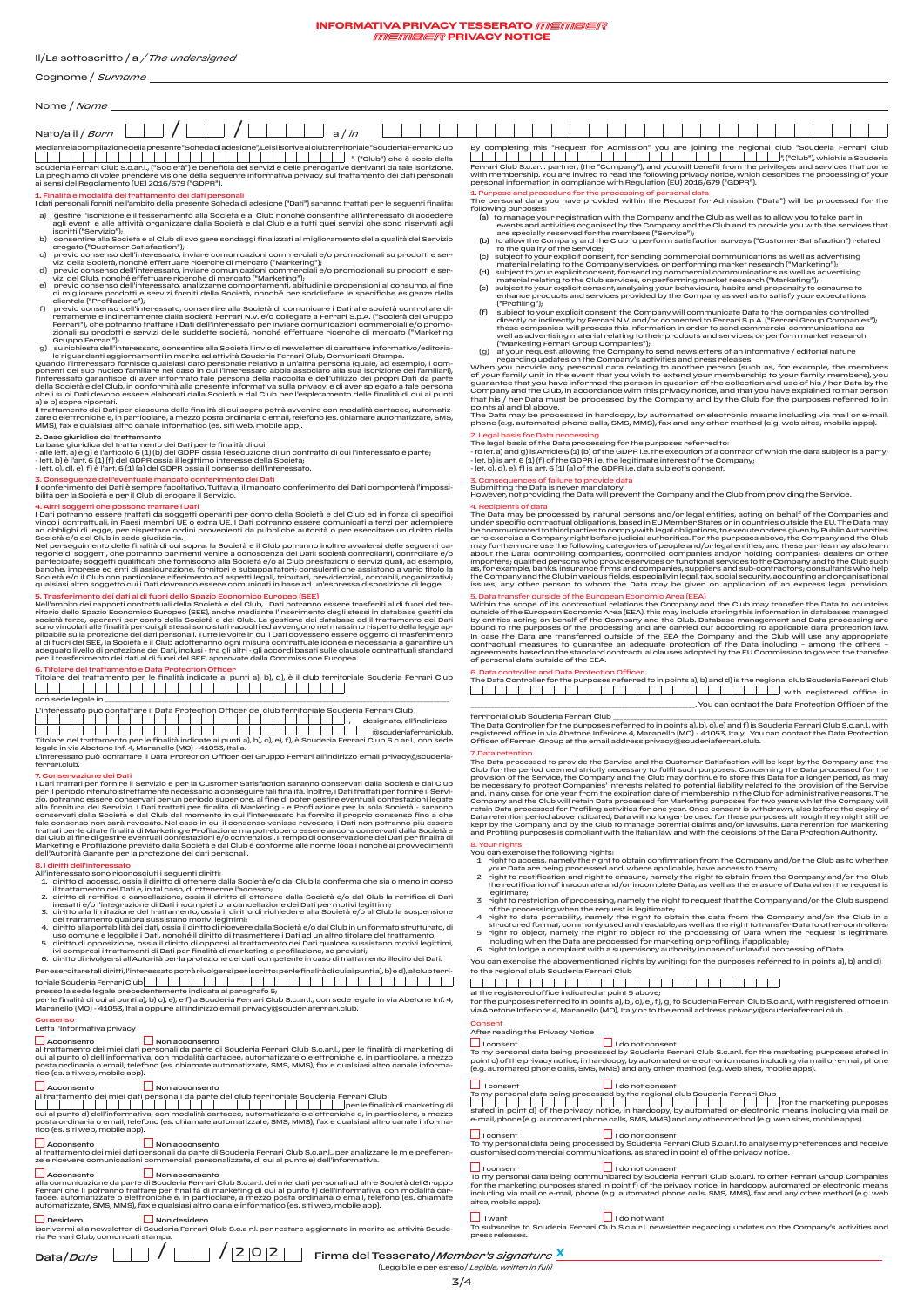# Cognome / *Surname*

### Nome / *Name* 1 1 1 1 1 1 1 1 1 1 1 1 Nato/a il / *Born* a / *in* / /  $1 - 1 - 1 - 1$  $\overline{\phantom{a}}$  $\blacksquare$  $\blacksquare$  $\blacksquare$

Mediante la compilazione della presente "Scheda di adesione", Lei si iscrive al club territoriale "Scuderia Ferrari Club ", ("Club") che è socio della Scuderia Ferrari Club S.c.ar.l., ("Società") e beneficia dei servizi e delle prerogative derivanti da tale iscrizione.<br>La preghiamo di voler prendere visione della seguente informativa privacy sul trattamento dei dati pers

**1. Finalità e modalità del trattamento dei dati personali**<br>I dati personali forniti nell'ambito della presente Scheda di adesione ("Dati") saranno trattati per le seguenti finalità: a) gestire l'isorizione e il tesseramento alla Società e al Club nonché consentire all'interessato di accedere<br>agli eventi e alle attività organizzate dalla Società e dal Club e a tutti quei servizi che sono riservati ag

- b) consentire alla Società e al Club di svolgere sondaggi finalizzati al miglioramento della qualità del Servizio erogato ("Customer Satisfaction");
- 
- 
- 
- 
- 

# c) previo consenso dell'interessato, inviare comunicazioni commerciale (o promozionali su prodotti e ser-<br>vizi della Società, nonché effettuare ricerche di mercato ("Marketing");<br>d) previo consenso dell'interessato, inviar

Il trattamento dei Dati per ciascuna delle finalità di cui sopra potrà avvenire con modalità cartacee, automatiz-<br>zate o elettroniche e, in particolare, a mezzo posta ordinaria o email, telefono (es. chiamate automatizzate

2. Base giuridica del trattamento

La base giuridica del trattamento dei Dati per le finalità di cui:<br>- alle lett. a) e g) è l'articolo 6 (1) (b) del GDPR ossia l'esecuzione di un contratto di cui l'interessato è parte;<br>- lett. b) è l'art. 6 (1) (f) del GDP

<mark>3. Conseguenze dell'eventuale mancato conferimento dei Dati</mark><br>Il conferimento dei Dati è sempre facoltativo. Tuttavia, il mancato conferimento dei Dati comporterà l'impossi-<br>bilità per la Società e per il Club di erogare i

4. Altri soggetti che possono trattare i Dati<br>a Dati portano essere trattati da soggetti operanti per conto della Società e del Club ed in forza di specifici<br>civincoli contrattatli, in Paesi membri UE o extra UE. I Dati po

5. Trasferimento dei dati al di fuori dello Spazio Economico Europeo (SEE)<br>Rafferimento dei rapporti contrattuali della Società e del Club, i Dati potranno essere trasferiti al di fuori del ter-<br>ritorio dello Spazio Econom



Titolare del trattamento per le finalità indicate ai punti a), b), o), e), f), è Scuderia Ferrari Club S.c.ar.I., con sede<br>legale in via Abetone Inf. 4, Maranello (MO) - 41053, Italia.<br>L'interessato può contattare il Data

ferrari.club.

### 7. Conservazione dei Dati

I Dati trattati per fornire il Servizio e per la Customer Satisfaction saranno conservati dalla Società e dal Club per il periodo ritenuto strettamente necessario a conseguire tali finalità. Inoltre, i Dati trattati per fornire il Servizio, potranno essere conservati per un periodo superiore, al fine di poter gestire eventuali contestazioni legate<br>alla fornitura del Servizio. I Dati trattati per finalità di Marketing - e Profilazione per la sola Società

- 
- 3. Idiriti dell'interessato<br>
1. diritti dell'interessato sono ricononsciutti i seguenti diritti:<br>
1. diritto di accesso, ossia il diritto di ottenere dalla Società e/o dal Club la conferma che sia o meno in corso<br>
1. intat
- 
- del traftamento qualora sussistato motivi legiritmi;<br>4. diritto alla portabilità dei dati, ossia il diritto di ricevere dalla Società e/o dal Club in un formato strutturato, di<br>4. diritto di poposizione, ossia il diritto d
- 
- 
- Per esercitare tali diritti, l'interessato potrà rivolgersi per iscritto: per le finalità di cui ai punti a), b) e d), al club terri-<br>toriale Scuderia Ferrari Club $\vert\phantom{a}\vert\phantom{a}\vert\phantom{a}\vert\phantom{a}\vert\phantom{a}\vert\phantom{a}\vert\phantom{a}\vert\phantom{a}\vert$ presso la sede legale precedentemente indicata al paragrafo 5;<br>per le finalità di cui ai punti a), b) c), e), e f) a Scuderia Ferrari Club S.c.ar.l., con sede legale in via Abetone Inf. 4,

Maranello (MO) - 41053, Italia oppure all'indirizzo email privacy@scuderiaferrari.club.

### Consenso<br>Letta l'Informativa privacy Letta l'Informativa privacy

∟ Acconsento<br>al trattamento dei miei dati personali da parte di Scuderia Ferrari Club S.c.ar.l., per le finalità di marketing di<br>cui al punto c) dell'informativa, con modalità cartacee, automatizzate o elettroniche e, in

| $\Box$ Acconsento                                             |  |  |  |  |  |  |  |  | $\Box$ Non acconsento |  |  |  |  |  |  |  |  |  |  |  |  |  |
|---------------------------------------------------------------|--|--|--|--|--|--|--|--|-----------------------|--|--|--|--|--|--|--|--|--|--|--|--|--|
| al trattamento dei miei dati personali da parte del club terr |  |  |  |  |  |  |  |  |                       |  |  |  |  |  |  |  |  |  |  |  |  |  |
|                                                               |  |  |  |  |  |  |  |  |                       |  |  |  |  |  |  |  |  |  |  |  |  |  |

# a Acconsento<br>al trattamento dei miei dati personali da parte del club territoriale Scuderia Ferrari Club<br>cui al punto d) dell'informativa, con modalità cartacee, automatizzate o elettroniche e, in particolare, a mezzo<br>post

L\_J Acconsento<br>al trattamento dei miei dati personali da parte di Scuderia Ferrari Club S.c.ar.I., per analizzare le mie preferen-<br>ze e ricevere comunicazioni commerciali personalizzate, di cui al punto e) dell'informativ

\_| Acconsento<br>alla comunicazione da parte di Scuderia Ferrari Club S.c.ar.l. dei miei dati personali ad altre Società del Gruppo<br>Ferrari che li potranno trattare per finalità di marketing di cui al punto f) dell'informat

Desidero Non desidero iscrivermi alla newsletter di Scuderia Ferrari Club S.c.a r.l. per restare aggiornato in merito ad attività Scude-ria Ferrari Club, comunicati stampa.

By completing this "Request for Admission" you are joining the regional club "Scuderia Ferrari Club ", ("Club"), which is a Scuderia Ferrari Club S.c.ar.I. partner, (the "Company"), and you will benefit from the privileges and services that come<br>with membership. You are invited to read the following privacy notice, which describes the processing of your

1. Purpose and procedure for the processing of personal data<br>The personal data you have provided within the Request for Admission ("Data") will be processed for the

- 
- 
- 
- 
- 
- 

2. Legal basis for Data processing for the purposes referred to:<br>- The legal basis of the Data processing for the purposes referred to:<br>- to let.a) and g) is Article 6 (1) (b) of the GDPR i.e. the execution of a contract o

3. Consequences of failure to provide data<br>Submitting the Data is never mandatory.<br>However, not providing the Data will prevent the Company and the Club from providing the Service.

4. Reoipients of data<br>The Data may be processed by natural persons and/or legal entities, acting on behalf of the Companies and<br>under specific contractual obligations, based in EU Member Strates or in countries outside the the Company and the Club in various fields, especially in legal, tax, social security, accounting and organisational issues; any other person to whom the Data may be given on application of an express legal provision.

5. Data transfer outside of the European Economic Area (EEA)<br>Within the scope of its contractual relations the Company and the Club may transfer the Data to countries<br>outside of the European Economic Area (EEA), this may i of personal data outside of the EEA.

6. Data controller and Data Protection Officer The Data Controller for the purposes referred to in points a), b) and d) is the regional club Scuderia Ferrari Club with registered office in \_\_\_\_\_\_\_\_\_\_\_\_\_\_\_\_\_\_\_\_\_\_\_\_\_\_\_\_\_\_\_\_\_\_\_\_\_\_\_\_\_\_\_\_\_\_\_\_\_\_\_\_\_\_\_\_\_\_\_\_\_\_\_\_\_\_\_. You can contact the Data Protection Officer of the

territorial club Scuderia Ferrari Club<br>The Data Controller for the purposes referred to in points a), b), o), e) and f) is Scuderia Ferrari Club S.c.ar.l., with<br>registered office in via Abetone Inferiore 4, Maranello (MO)

7. Data retention<br>The Data processed to provide the Service and the Customer Satisfaction will be kept by the Company and the<br>Club for the period deemed strictly necessary to fulfil such purposes. Concerning the Data proce

### 8. Your rights

You can exercise the following rights:<br>You can experience the company and/or the Cub as to whether<br>your Data are being processed and, where applicable, have access to them;<br>2 right to coefification and right to ensure, nam

- 
- 
- legitimate;<br>This discussion, annot the right to request that the Company and/or the Club suspend<br>of the processing when the request is legitimate;<br> $\sigma$  fine processing when the request is legitimate;<br> $\sigma$  fine to data port
- 
- 

You can exercise the abovementioned rights by writing: for the purposes referred to in points a), b) and d) to the regional club Scuderia Ferrari Club

at the registered office indicated at point 5 above;<br>for the purposes referred to in points a), b), o), e), f), g) to Scuderia Ferrari Club S.c.ar.l., with registered office in<br>via Abetone Inferiore 4, Maranello (MO), Ital

### Consent After reading the Privacy Notice

∟l roonsent<br>To my personal data being processed by Scuderia Ferrari Club S.c.an!. for the marketing purposes stated in<br>point o) of the privacy notice, in hardcopy, by automated or electronic means including via mail or e-

University of the season of the content of the season of the season of the season of the season of the season of the season of the season of the season of the season of the season of the season of the season of the season

I consent I do not consent To my personal data being processed by Scuderia Ferrari Club S.c.ar.l. to analyse my preferences and receive customised commercial communications, as stated in point e) of the privacy notice.

∟l roonsent<br>To my personal data being communicated by Scuderia Ferrari Club S.c.ar.l. to other Ferrari Group Companies<br>for the marketing purposes stated in point f) of the privacy notice, in hardcopy, automated or electro

 I want I do not want To subscribe to Scuderia Ferrari Club S.c.a r.l. newsletter regarding updates on the Company's activities and press releases.

er<br>(Leggibile e per esteso/ *Legible*, with

The personal data you have provided within the Request for Admission ("Data") will be processed for the<br>
following purposes:<br>
(a) to manage your registration with the Company and the Club as well as to allow you to trake p